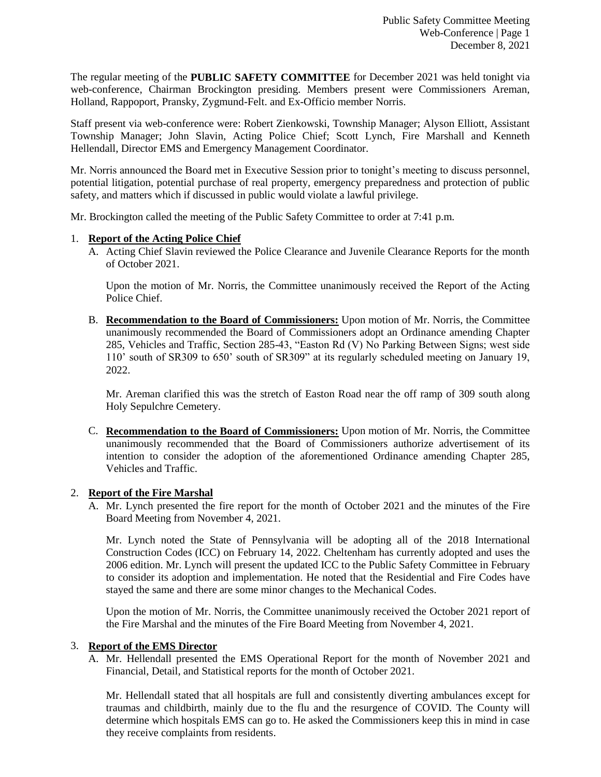The regular meeting of the **PUBLIC SAFETY COMMITTEE** for December 2021 was held tonight via web-conference, Chairman Brockington presiding. Members present were Commissioners Areman, Holland, Rappoport, Pransky, Zygmund-Felt. and Ex-Officio member Norris.

Staff present via web-conference were: Robert Zienkowski, Township Manager; Alyson Elliott, Assistant Township Manager; John Slavin, Acting Police Chief; Scott Lynch, Fire Marshall and Kenneth Hellendall, Director EMS and Emergency Management Coordinator.

Mr. Norris announced the Board met in Executive Session prior to tonight's meeting to discuss personnel, potential litigation, potential purchase of real property, emergency preparedness and protection of public safety, and matters which if discussed in public would violate a lawful privilege.

Mr. Brockington called the meeting of the Public Safety Committee to order at 7:41 p.m.

# 1. **Report of the Acting Police Chief**

A. Acting Chief Slavin reviewed the Police Clearance and Juvenile Clearance Reports for the month of October 2021.

Upon the motion of Mr. Norris, the Committee unanimously received the Report of the Acting Police Chief.

B. **Recommendation to the Board of Commissioners:** Upon motion of Mr. Norris, the Committee unanimously recommended the Board of Commissioners adopt an Ordinance amending Chapter 285, Vehicles and Traffic, Section 285-43, "Easton Rd (V) No Parking Between Signs; west side 110' south of SR309 to 650' south of SR309" at its regularly scheduled meeting on January 19, 2022.

Mr. Areman clarified this was the stretch of Easton Road near the off ramp of 309 south along Holy Sepulchre Cemetery.

C. **Recommendation to the Board of Commissioners:** Upon motion of Mr. Norris, the Committee unanimously recommended that the Board of Commissioners authorize advertisement of its intention to consider the adoption of the aforementioned Ordinance amending Chapter 285, Vehicles and Traffic.

# 2. **Report of the Fire Marshal**

A. Mr. Lynch presented the fire report for the month of October 2021 and the minutes of the Fire Board Meeting from November 4, 2021.

Mr. Lynch noted the State of Pennsylvania will be adopting all of the 2018 International Construction Codes (ICC) on February 14, 2022. Cheltenham has currently adopted and uses the 2006 edition. Mr. Lynch will present the updated ICC to the Public Safety Committee in February to consider its adoption and implementation. He noted that the Residential and Fire Codes have stayed the same and there are some minor changes to the Mechanical Codes.

Upon the motion of Mr. Norris, the Committee unanimously received the October 2021 report of the Fire Marshal and the minutes of the Fire Board Meeting from November 4, 2021.

#### 3. **Report of the EMS Director**

A. Mr. Hellendall presented the EMS Operational Report for the month of November 2021 and Financial, Detail, and Statistical reports for the month of October 2021.

Mr. Hellendall stated that all hospitals are full and consistently diverting ambulances except for traumas and childbirth, mainly due to the flu and the resurgence of COVID. The County will determine which hospitals EMS can go to. He asked the Commissioners keep this in mind in case they receive complaints from residents.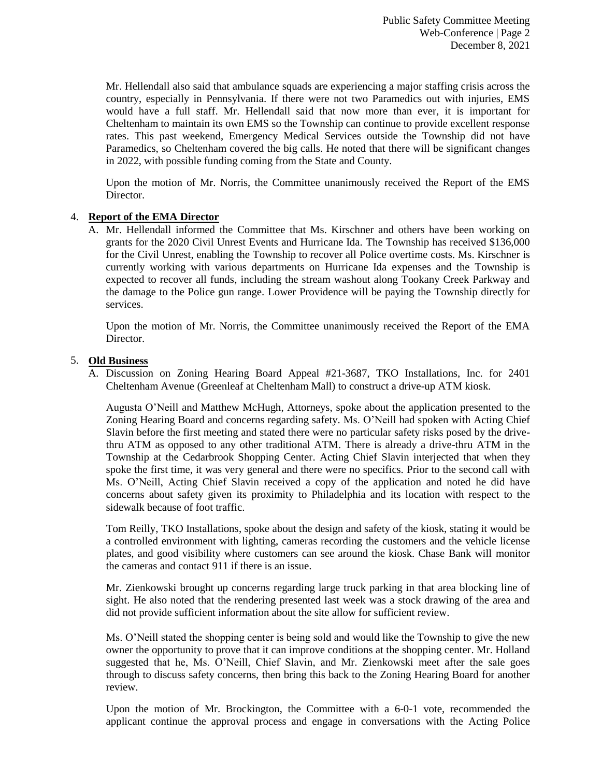Mr. Hellendall also said that ambulance squads are experiencing a major staffing crisis across the country, especially in Pennsylvania. If there were not two Paramedics out with injuries, EMS would have a full staff. Mr. Hellendall said that now more than ever, it is important for Cheltenham to maintain its own EMS so the Township can continue to provide excellent response rates. This past weekend, Emergency Medical Services outside the Township did not have Paramedics, so Cheltenham covered the big calls. He noted that there will be significant changes in 2022, with possible funding coming from the State and County.

Upon the motion of Mr. Norris, the Committee unanimously received the Report of the EMS Director.

# 4. **Report of the EMA Director**

A. Mr. Hellendall informed the Committee that Ms. Kirschner and others have been working on grants for the 2020 Civil Unrest Events and Hurricane Ida. The Township has received \$136,000 for the Civil Unrest, enabling the Township to recover all Police overtime costs. Ms. Kirschner is currently working with various departments on Hurricane Ida expenses and the Township is expected to recover all funds, including the stream washout along Tookany Creek Parkway and the damage to the Police gun range. Lower Providence will be paying the Township directly for services.

Upon the motion of Mr. Norris, the Committee unanimously received the Report of the EMA Director.

# 5. **Old Business**

A. Discussion on Zoning Hearing Board Appeal #21-3687, TKO Installations, Inc. for 2401 Cheltenham Avenue (Greenleaf at Cheltenham Mall) to construct a drive-up ATM kiosk.

Augusta O'Neill and Matthew McHugh, Attorneys, spoke about the application presented to the Zoning Hearing Board and concerns regarding safety. Ms. O'Neill had spoken with Acting Chief Slavin before the first meeting and stated there were no particular safety risks posed by the drivethru ATM as opposed to any other traditional ATM. There is already a drive-thru ATM in the Township at the Cedarbrook Shopping Center. Acting Chief Slavin interjected that when they spoke the first time, it was very general and there were no specifics. Prior to the second call with Ms. O'Neill, Acting Chief Slavin received a copy of the application and noted he did have concerns about safety given its proximity to Philadelphia and its location with respect to the sidewalk because of foot traffic.

Tom Reilly, TKO Installations, spoke about the design and safety of the kiosk, stating it would be a controlled environment with lighting, cameras recording the customers and the vehicle license plates, and good visibility where customers can see around the kiosk. Chase Bank will monitor the cameras and contact 911 if there is an issue.

Mr. Zienkowski brought up concerns regarding large truck parking in that area blocking line of sight. He also noted that the rendering presented last week was a stock drawing of the area and did not provide sufficient information about the site allow for sufficient review.

Ms. O'Neill stated the shopping center is being sold and would like the Township to give the new owner the opportunity to prove that it can improve conditions at the shopping center. Mr. Holland suggested that he, Ms. O'Neill, Chief Slavin, and Mr. Zienkowski meet after the sale goes through to discuss safety concerns, then bring this back to the Zoning Hearing Board for another review.

Upon the motion of Mr. Brockington, the Committee with a 6-0-1 vote, recommended the applicant continue the approval process and engage in conversations with the Acting Police